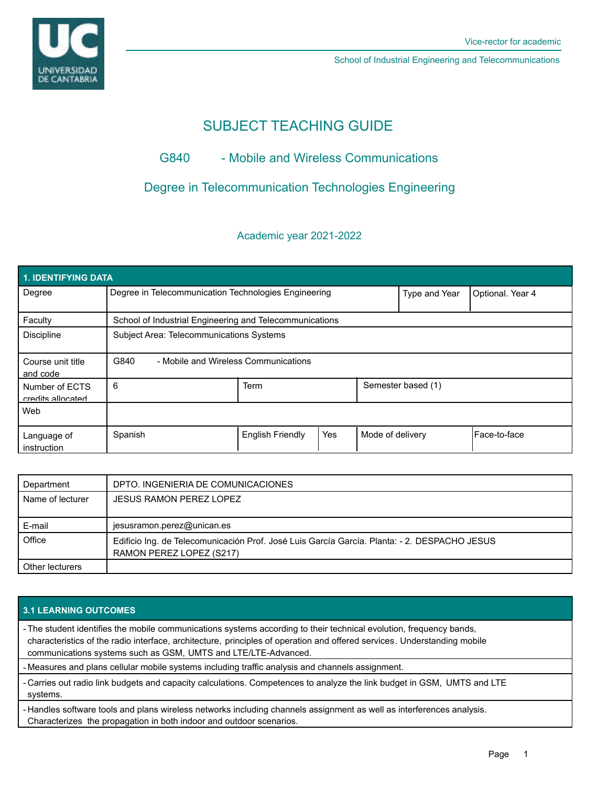

School of Industrial Engineering and Telecommunications

# SUBJECT TEACHING GUIDE

# G840 - Mobile and Wireless Communications

## Degree in Telecommunication Technologies Engineering

### Academic year 2021-2022

| 1. IDENTIFYING DATA                 |                                                         |                         |     |                    |                  |              |  |  |  |
|-------------------------------------|---------------------------------------------------------|-------------------------|-----|--------------------|------------------|--------------|--|--|--|
| Degree                              | Degree in Telecommunication Technologies Engineering    |                         |     | Type and Year      | Optional. Year 4 |              |  |  |  |
| Faculty                             | School of Industrial Engineering and Telecommunications |                         |     |                    |                  |              |  |  |  |
| <b>Discipline</b>                   | Subject Area: Telecommunications Systems                |                         |     |                    |                  |              |  |  |  |
| Course unit title<br>and code       | G840<br>- Mobile and Wireless Communications            |                         |     |                    |                  |              |  |  |  |
| Number of ECTS<br>credits allocated | 6                                                       | <b>Term</b>             |     | Semester based (1) |                  |              |  |  |  |
| Web                                 |                                                         |                         |     |                    |                  |              |  |  |  |
| Language of<br>instruction          | Spanish                                                 | <b>English Friendly</b> | Yes | Mode of delivery   |                  | Face-to-face |  |  |  |

| Department       | DPTO. INGENIERIA DE COMUNICACIONES                                                                                       |
|------------------|--------------------------------------------------------------------------------------------------------------------------|
| Name of lecturer | <b>JESUS RAMON PEREZ LOPEZ</b>                                                                                           |
| E-mail           | jesusramon.perez@unican.es                                                                                               |
| Office           | Edificio Ing. de Telecomunicación Prof. José Luis García García. Planta: - 2. DESPACHO JESUS<br>RAMON PEREZ LOPEZ (S217) |
| Other lecturers  |                                                                                                                          |

### **3.1 LEARNING OUTCOMES**

- The student identifies the mobile communications systems according to their technical evolution, frequency bands, characteristics of the radio interface, architecture, principles of operation and offered services. Understanding mobile communications systems such as GSM, UMTS and LTE/LTE-Advanced.
- Measures and plans cellular mobile systems including traffic analysis and channels assignment.
- Carries out radio link budgets and capacity calculations. Competences to analyze the link budget in GSM, UMTS and LTE systems.
- Handles software tools and plans wireless networks including channels assignment as well as interferences analysis. Characterizes the propagation in both indoor and outdoor scenarios.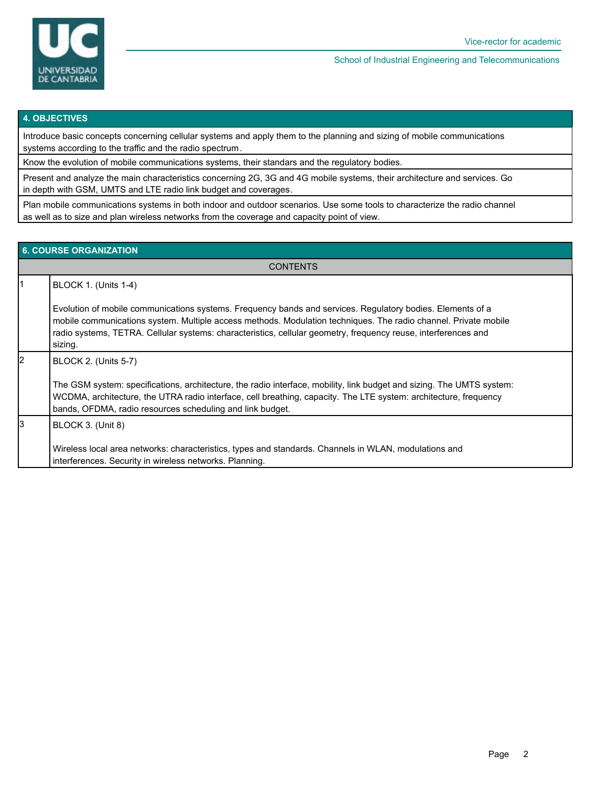

#### **4. OBJECTIVES**

Introduce basic concepts concerning cellular systems and apply them to the planning and sizing of mobile communications systems according to the traffic and the radio spectrum.

Know the evolution of mobile communications systems, their standars and the regulatory bodies.

Present and analyze the main characteristics concerning 2G, 3G and 4G mobile systems, their architecture and services. Go in depth with GSM, UMTS and LTE radio link budget and coverages.

Plan mobile communications systems in both indoor and outdoor scenarios. Use some tools to characterize the radio channel as well as to size and plan wireless networks from the coverage and capacity point of view.

#### **6. COURSE ORGANIZATION**

**CONTENTS** 

|    | BLOCK 1. (Units 1-4)                                                                                                                                                                                                                                                                                                                                       |
|----|------------------------------------------------------------------------------------------------------------------------------------------------------------------------------------------------------------------------------------------------------------------------------------------------------------------------------------------------------------|
|    | Evolution of mobile communications systems. Frequency bands and services. Regulatory bodies. Elements of a<br>mobile communications system. Multiple access methods. Modulation techniques. The radio channel. Private mobile<br>radio systems, TETRA. Cellular systems: characteristics, cellular geometry, frequency reuse, interferences and<br>sizing. |
| l2 | <b>BLOCK 2. (Units 5-7)</b><br>The GSM system: specifications, architecture, the radio interface, mobility, link budget and sizing. The UMTS system:<br>WCDMA, architecture, the UTRA radio interface, cell breathing, capacity. The LTE system: architecture, frequency<br>bands, OFDMA, radio resources scheduling and link budget.                      |
|    | BLOCK 3. (Unit 8)<br>Wireless local area networks: characteristics, types and standards. Channels in WLAN, modulations and<br>interferences. Security in wireless networks. Planning.                                                                                                                                                                      |